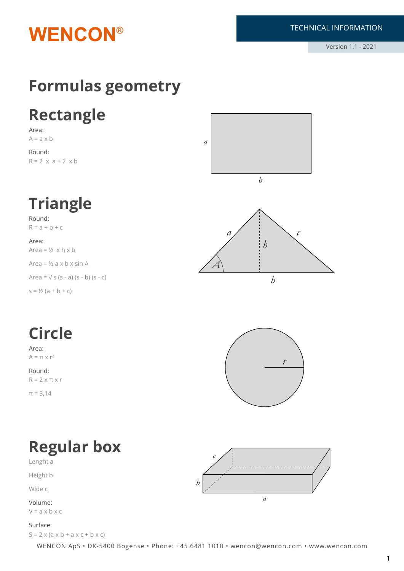

## **Formulas geometry**

## **Rectangle**

Area:  $A = a \times b$ 

Round:  $R = 2 \times a + 2 \times b$ 



# **Triangle**

Round:  $R = a + b + c$ 

Area: Area =  $\frac{1}{2}$  x h x b Area =  $\frac{1}{2}$  a x b x sin A

Area =  $\sqrt{s}$  (s - a) (s - b) (s - c)

 $s = \frac{1}{2} (a + b + c)$ 



# **Circle**

Area:  $A = \pi \times r^2$ 

Round:  $R = 2 \times \pi \times r$  $\pi = 3.14$ 



### **Regular box** Lenght a

Height b

Wide c

Volume:  $V = a \times b \times c$ 

#### Surface:

 $S = 2 \times (a \times b + a \times c + b \times c)$ 

*b c a*